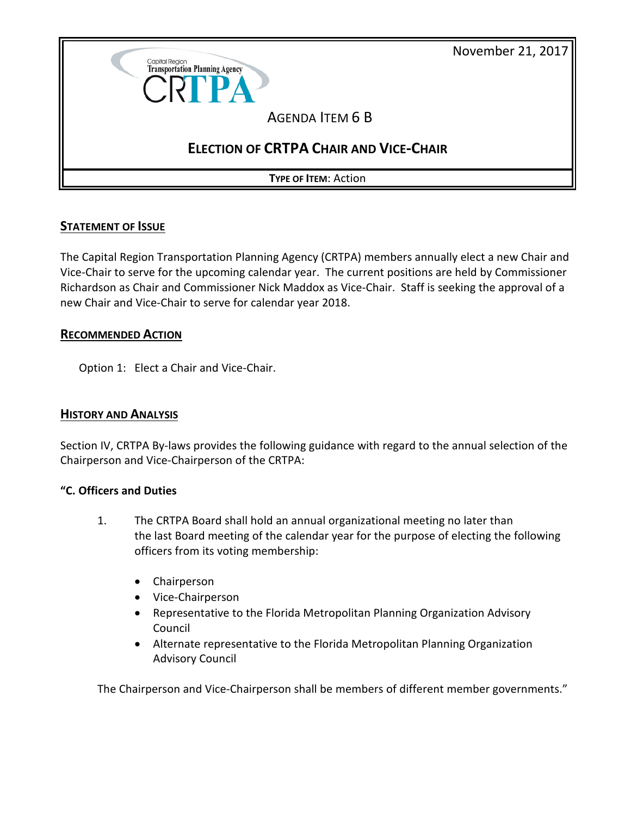



## **STATEMENT OF ISSUE**

The Capital Region Transportation Planning Agency (CRTPA) members annually elect a new Chair and Vice-Chair to serve for the upcoming calendar year. The current positions are held by Commissioner Richardson as Chair and Commissioner Nick Maddox as Vice-Chair. Staff is seeking the approval of a new Chair and Vice-Chair to serve for calendar year 2018.

### **RECOMMENDED ACTION**

Option 1: Elect a Chair and Vice-Chair.

### **HISTORY AND ANALYSIS**

Section IV, CRTPA By-laws provides the following guidance with regard to the annual selection of the Chairperson and Vice-Chairperson of the CRTPA:

### **"C. Officers and Duties**

- 1. The CRTPA Board shall hold an annual organizational meeting no later than the last Board meeting of the calendar year for the purpose of electing the following officers from its voting membership:
	- Chairperson
	- Vice-Chairperson
	- Representative to the Florida Metropolitan Planning Organization Advisory Council
	- Alternate representative to the Florida Metropolitan Planning Organization Advisory Council

The Chairperson and Vice-Chairperson shall be members of different member governments."